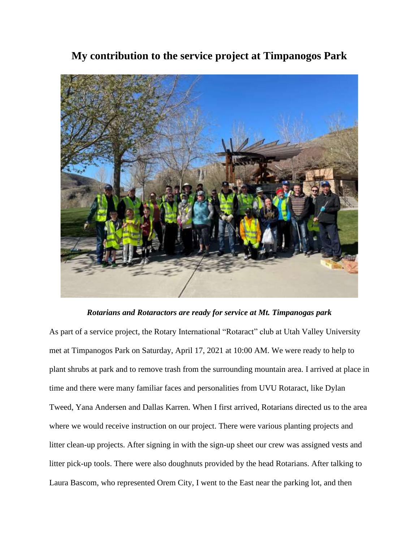

## **My contribution to the service project at Timpanogos Park**

## *Rotarians and Rotaractors are ready for service at Mt. Timpanogas park*

As part of a service project, the Rotary International "Rotaract" club at Utah Valley University met at Timpanogos Park on Saturday, April 17, 2021 at 10:00 AM. We were ready to help to plant shrubs at park and to remove trash from the surrounding mountain area. I arrived at place in time and there were many familiar faces and personalities from UVU Rotaract, like Dylan Tweed, Yana Andersen and Dallas Karren. When I first arrived, Rotarians directed us to the area where we would receive instruction on our project. There were various planting projects and litter clean-up projects. After signing in with the sign-up sheet our crew was assigned vests and litter pick-up tools. There were also doughnuts provided by the head Rotarians. After talking to Laura Bascom, who represented Orem City, I went to the East near the parking lot, and then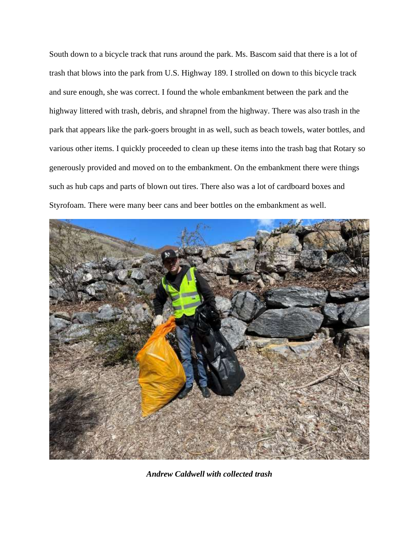South down to a bicycle track that runs around the park. Ms. Bascom said that there is a lot of trash that blows into the park from U.S. Highway 189. I strolled on down to this bicycle track and sure enough, she was correct. I found the whole embankment between the park and the highway littered with trash, debris, and shrapnel from the highway. There was also trash in the park that appears like the park-goers brought in as well, such as beach towels, water bottles, and various other items. I quickly proceeded to clean up these items into the trash bag that Rotary so generously provided and moved on to the embankment. On the embankment there were things such as hub caps and parts of blown out tires. There also was a lot of cardboard boxes and Styrofoam. There were many beer cans and beer bottles on the embankment as well.



*Andrew Caldwell with collected trash*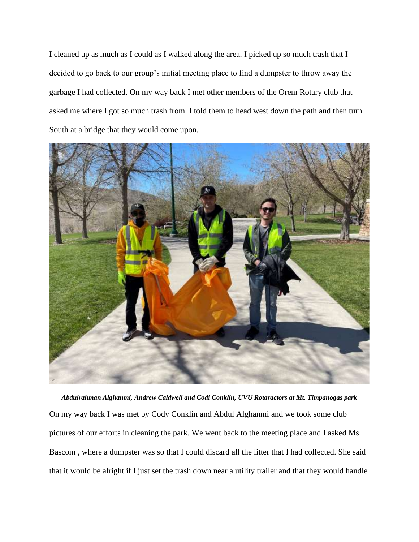I cleaned up as much as I could as I walked along the area. I picked up so much trash that I decided to go back to our group's initial meeting place to find a dumpster to throw away the garbage I had collected. On my way back I met other members of the Orem Rotary club that asked me where I got so much trash from. I told them to head west down the path and then turn South at a bridge that they would come upon.



*Abdulrahman Alghanmi, Andrew Caldwell and Codi Conklin, UVU Rotaractors at Mt. Timpanogas park* On my way back I was met by Cody Conklin and Abdul Alghanmi and we took some club pictures of our efforts in cleaning the park. We went back to the meeting place and I asked Ms. Bascom , where a dumpster was so that I could discard all the litter that I had collected. She said that it would be alright if I just set the trash down near a utility trailer and that they would handle